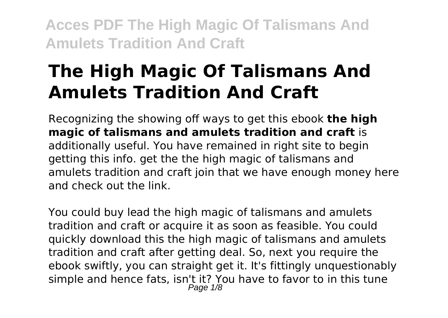# **The High Magic Of Talismans And Amulets Tradition And Craft**

Recognizing the showing off ways to get this ebook **the high magic of talismans and amulets tradition and craft** is additionally useful. You have remained in right site to begin getting this info. get the the high magic of talismans and amulets tradition and craft join that we have enough money here and check out the link.

You could buy lead the high magic of talismans and amulets tradition and craft or acquire it as soon as feasible. You could quickly download this the high magic of talismans and amulets tradition and craft after getting deal. So, next you require the ebook swiftly, you can straight get it. It's fittingly unquestionably simple and hence fats, isn't it? You have to favor to in this tune Page 1/8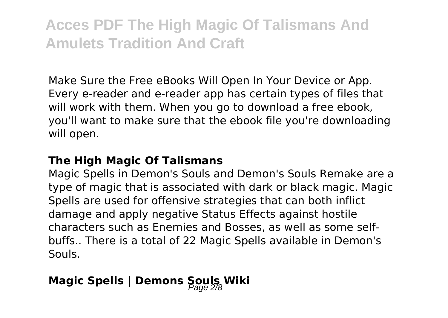Make Sure the Free eBooks Will Open In Your Device or App. Every e-reader and e-reader app has certain types of files that will work with them. When you go to download a free ebook, you'll want to make sure that the ebook file you're downloading will open.

#### **The High Magic Of Talismans**

Magic Spells in Demon's Souls and Demon's Souls Remake are a type of magic that is associated with dark or black magic. Magic Spells are used for offensive strategies that can both inflict damage and apply negative Status Effects against hostile characters such as Enemies and Bosses, as well as some selfbuffs.. There is a total of 22 Magic Spells available in Demon's Souls.

## **Magic Spells | Demons Souls Wiki**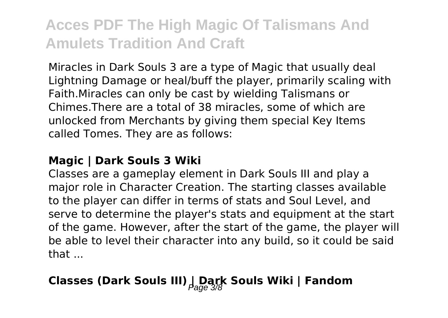Miracles in Dark Souls 3 are a type of Magic that usually deal Lightning Damage or heal/buff the player, primarily scaling with Faith.Miracles can only be cast by wielding Talismans or Chimes.There are a total of 38 miracles, some of which are unlocked from Merchants by giving them special Key Items called Tomes. They are as follows:

#### **Magic | Dark Souls 3 Wiki**

Classes are a gameplay element in Dark Souls III and play a major role in Character Creation. The starting classes available to the player can differ in terms of stats and Soul Level, and serve to determine the player's stats and equipment at the start of the game. However, after the start of the game, the player will be able to level their character into any build, so it could be said that  $\overline{a}$ 

## **Classes (Dark Souls III)**  $\int_{\mathcal{B}}$  **Dark Souls Wiki** | Fandom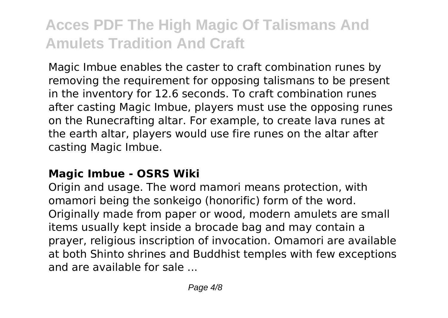Magic Imbue enables the caster to craft combination runes by removing the requirement for opposing talismans to be present in the inventory for 12.6 seconds. To craft combination runes after casting Magic Imbue, players must use the opposing runes on the Runecrafting altar. For example, to create lava runes at the earth altar, players would use fire runes on the altar after casting Magic Imbue.

### **Magic Imbue - OSRS Wiki**

Origin and usage. The word mamori means protection, with omamori being the sonkeigo (honorific) form of the word. Originally made from paper or wood, modern amulets are small items usually kept inside a brocade bag and may contain a prayer, religious inscription of invocation. Omamori are available at both Shinto shrines and Buddhist temples with few exceptions and are available for sale ...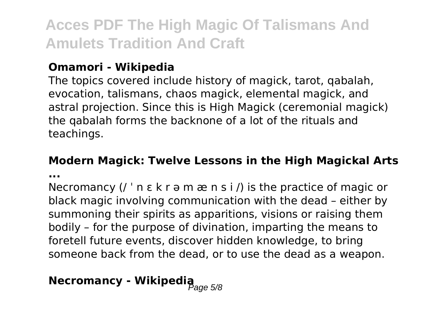### **Omamori - Wikipedia**

The topics covered include history of magick, tarot, qabalah, evocation, talismans, chaos magick, elemental magick, and astral projection. Since this is High Magick (ceremonial magick) the qabalah forms the backnone of a lot of the rituals and teachings.

## **Modern Magick: Twelve Lessons in the High Magickal Arts**

**...**

Necromancy  $($  ' n  $\varepsilon$  k r  $\vartheta$  m  $\vartheta$  n s i  $\vartheta$  is the practice of magic or black magic involving communication with the dead – either by summoning their spirits as apparitions, visions or raising them bodily – for the purpose of divination, imparting the means to foretell future events, discover hidden knowledge, to bring someone back from the dead, or to use the dead as a weapon.

# **Necromancy - Wikipedia**<br>  $\theta_{\text{age 5/8}}$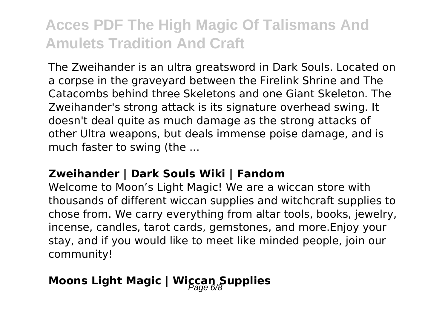The Zweihander is an ultra greatsword in Dark Souls. Located on a corpse in the graveyard between the Firelink Shrine and The Catacombs behind three Skeletons and one Giant Skeleton. The Zweihander's strong attack is its signature overhead swing. It doesn't deal quite as much damage as the strong attacks of other Ultra weapons, but deals immense poise damage, and is much faster to swing (the ...

#### **Zweihander | Dark Souls Wiki | Fandom**

Welcome to Moon's Light Magic! We are a wiccan store with thousands of different wiccan supplies and witchcraft supplies to chose from. We carry everything from altar tools, books, jewelry, incense, candles, tarot cards, gemstones, and more.Enjoy your stay, and if you would like to meet like minded people, join our community!

## **Moons Light Magic | Wiccan Supplies**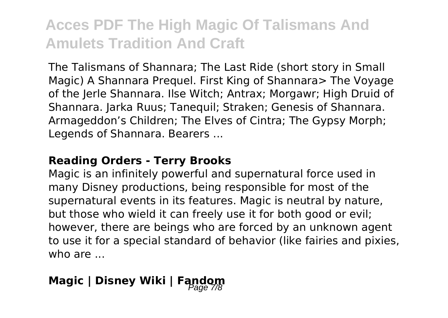The Talismans of Shannara; The Last Ride (short story in Small Magic) A Shannara Prequel. First King of Shannara> The Voyage of the Jerle Shannara. Ilse Witch; Antrax; Morgawr; High Druid of Shannara. Jarka Ruus; Tanequil; Straken; Genesis of Shannara. Armageddon's Children; The Elves of Cintra; The Gypsy Morph; Legends of Shannara. Bearers ...

#### **Reading Orders - Terry Brooks**

Magic is an infinitely powerful and supernatural force used in many Disney productions, being responsible for most of the supernatural events in its features. Magic is neutral by nature, but those who wield it can freely use it for both good or evil; however, there are beings who are forced by an unknown agent to use it for a special standard of behavior (like fairies and pixies, who are ...

## **Magic | Disney Wiki | Fandom**